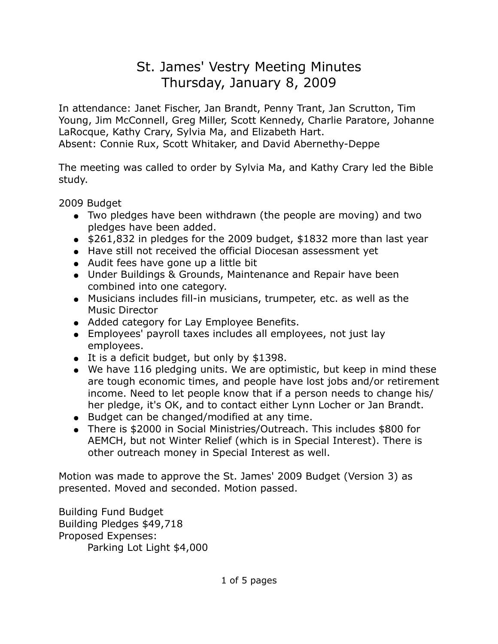## St. James' Vestry Meeting Minutes Thursday, January 8, 2009

In attendance: Janet Fischer, Jan Brandt, Penny Trant, Jan Scrutton, Tim Young, Jim McConnell, Greg Miller, Scott Kennedy, Charlie Paratore, Johanne LaRocque, Kathy Crary, Sylvia Ma, and Elizabeth Hart. Absent: Connie Rux, Scott Whitaker, and David Abernethy-Deppe

The meeting was called to order by Sylvia Ma, and Kathy Crary led the Bible study.

2009 Budget

- Two pledges have been withdrawn (the people are moving) and two pledges have been added.
- $\bullet$  \$261,832 in pledges for the 2009 budget, \$1832 more than last year
- Have still not received the official Diocesan assessment yet
- Audit fees have gone up a little bit
- Under Buildings & Grounds, Maintenance and Repair have been combined into one category.
- Musicians includes fill-in musicians, trumpeter, etc. as well as the Music Director
- Added category for Lay Employee Benefits.
- Employees' payroll taxes includes all employees, not just lay employees.
- It is a deficit budget, but only by \$1398.
- We have 116 pledging units. We are optimistic, but keep in mind these are tough economic times, and people have lost jobs and/or retirement income. Need to let people know that if a person needs to change his/ her pledge, it's OK, and to contact either Lynn Locher or Jan Brandt.
- Budget can be changed/modified at any time.
- There is \$2000 in Social Ministries/Outreach. This includes \$800 for AEMCH, but not Winter Relief (which is in Special Interest). There is other outreach money in Special Interest as well.

Motion was made to approve the St. James' 2009 Budget (Version 3) as presented. Moved and seconded. Motion passed.

Building Fund Budget Building Pledges \$49,718 Proposed Expenses: Parking Lot Light \$4,000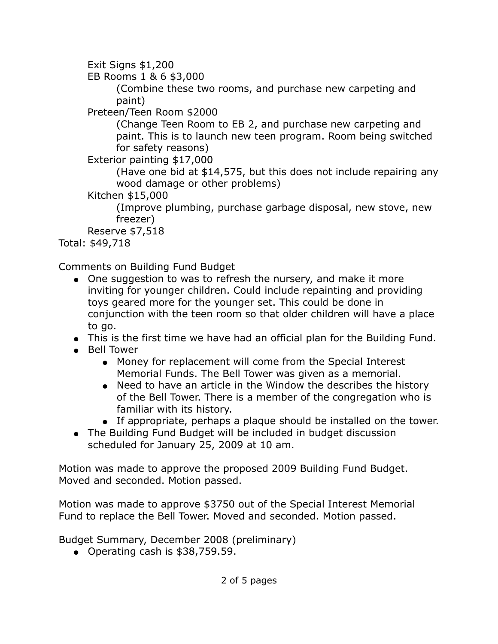Exit Signs \$1,200

EB Rooms 1 & 6 \$3,000

(Combine these two rooms, and purchase new carpeting and paint)

Preteen/Teen Room \$2000

(Change Teen Room to EB 2, and purchase new carpeting and paint. This is to launch new teen program. Room being switched for safety reasons)

Exterior painting \$17,000

(Have one bid at \$14,575, but this does not include repairing any wood damage or other problems)

Kitchen \$15,000

(Improve plumbing, purchase garbage disposal, new stove, new freezer)

Reserve \$7,518

Total: \$49,718

Comments on Building Fund Budget

- One suggestion to was to refresh the nursery, and make it more inviting for younger children. Could include repainting and providing toys geared more for the younger set. This could be done in conjunction with the teen room so that older children will have a place to go.
- This is the first time we have had an official plan for the Building Fund.
- Bell Tower
	- Money for replacement will come from the Special Interest Memorial Funds. The Bell Tower was given as a memorial.
	- Need to have an article in the Window the describes the history of the Bell Tower. There is a member of the congregation who is familiar with its history.
	- If appropriate, perhaps a plaque should be installed on the tower.
- The Building Fund Budget will be included in budget discussion scheduled for January 25, 2009 at 10 am.

Motion was made to approve the proposed 2009 Building Fund Budget. Moved and seconded. Motion passed.

Motion was made to approve \$3750 out of the Special Interest Memorial Fund to replace the Bell Tower. Moved and seconded. Motion passed.

Budget Summary, December 2008 (preliminary)

● Operating cash is \$38,759.59.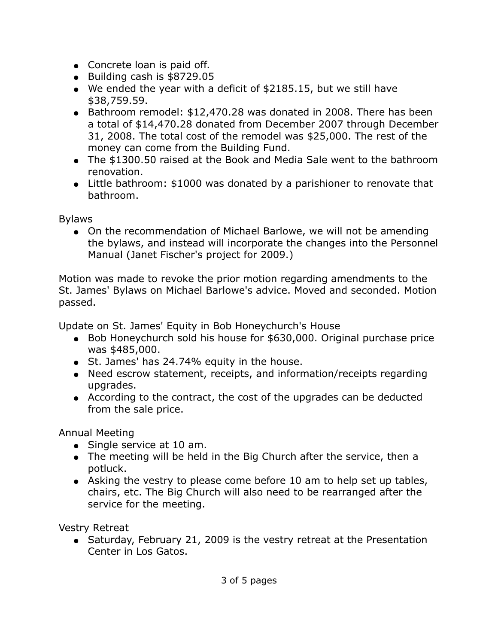- Concrete loan is paid off.
- Building cash is \$8729.05
- We ended the year with a deficit of  $$2185.15$ , but we still have \$38,759.59.
- Bathroom remodel: \$12,470.28 was donated in 2008. There has been a total of \$14,470.28 donated from December 2007 through December 31, 2008. The total cost of the remodel was \$25,000. The rest of the money can come from the Building Fund.
- The \$1300.50 raised at the Book and Media Sale went to the bathroom renovation.
- Little bathroom: \$1000 was donated by a parishioner to renovate that bathroom.

Bylaws

• On the recommendation of Michael Barlowe, we will not be amending the bylaws, and instead will incorporate the changes into the Personnel Manual (Janet Fischer's project for 2009.)

Motion was made to revoke the prior motion regarding amendments to the St. James' Bylaws on Michael Barlowe's advice. Moved and seconded. Motion passed.

Update on St. James' Equity in Bob Honeychurch's House

- Bob Honeychurch sold his house for \$630,000. Original purchase price was \$485,000.
- St. James' has 24.74% equity in the house.
- Need escrow statement, receipts, and information/receipts regarding upgrades.
- According to the contract, the cost of the upgrades can be deducted from the sale price.

Annual Meeting

- Single service at 10 am.
- The meeting will be held in the Big Church after the service, then a potluck.
- Asking the vestry to please come before 10 am to help set up tables, chairs, etc. The Big Church will also need to be rearranged after the service for the meeting.

Vestry Retreat

• Saturday, February 21, 2009 is the vestry retreat at the Presentation Center in Los Gatos.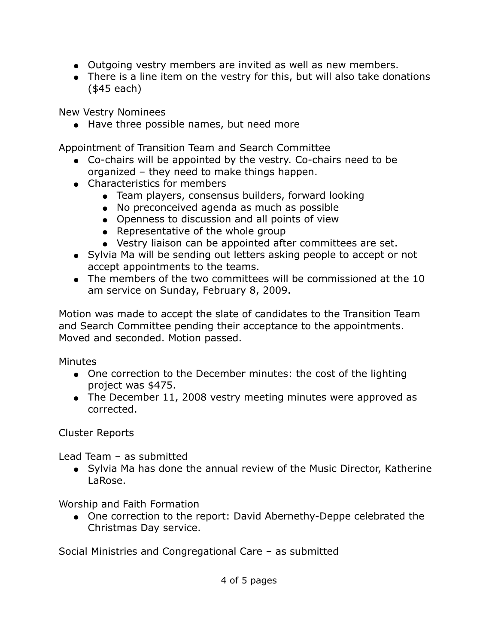- Outgoing vestry members are invited as well as new members.
- There is a line item on the vestry for this, but will also take donations (\$45 each)

New Vestry Nominees

● Have three possible names, but need more

Appointment of Transition Team and Search Committee

- Co-chairs will be appointed by the vestry. Co-chairs need to be organized – they need to make things happen.
- Characteristics for members
	- Team players, consensus builders, forward looking
	- No preconceived agenda as much as possible
	- Openness to discussion and all points of view
	- Representative of the whole group
	- Vestry liaison can be appointed after committees are set.
- Sylvia Ma will be sending out letters asking people to accept or not accept appointments to the teams.
- The members of the two committees will be commissioned at the 10 am service on Sunday, February 8, 2009.

Motion was made to accept the slate of candidates to the Transition Team and Search Committee pending their acceptance to the appointments. Moved and seconded. Motion passed.

**Minutes** 

- One correction to the December minutes: the cost of the lighting project was \$475.
- The December 11, 2008 vestry meeting minutes were approved as corrected.

Cluster Reports

Lead Team – as submitted

● Sylvia Ma has done the annual review of the Music Director, Katherine LaRose.

Worship and Faith Formation

• One correction to the report: David Abernethy-Deppe celebrated the Christmas Day service.

Social Ministries and Congregational Care – as submitted